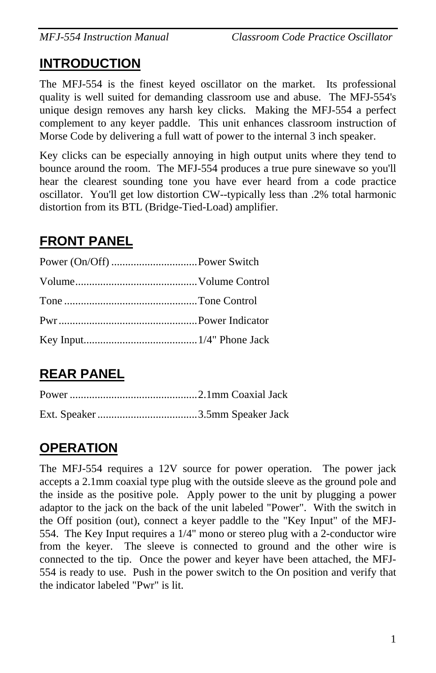### **INTRODUCTION**

The MFJ-554 is the finest keyed oscillator on the market. Its professional quality is well suited for demanding classroom use and abuse. The MFJ-554's unique design removes any harsh key clicks. Making the MFJ-554 a perfect complement to any keyer paddle. This unit enhances classroom instruction of Morse Code by delivering a full watt of power to the internal 3 inch speaker.

Key clicks can be especially annoying in high output units where they tend to bounce around the room. The MFJ-554 produces a true pure sinewave so you'll hear the clearest sounding tone you have ever heard from a code practice oscillator. You'll get low distortion CW--typically less than .2% total harmonic distortion from its BTL (Bridge-Tied-Load) amplifier.

# **FRONT PANEL**

# **REAR PANEL**

## **OPERATION**

The MFJ-554 requires a 12V source for power operation. The power jack accepts a 2.1mm coaxial type plug with the outside sleeve as the ground pole and the inside as the positive pole. Apply power to the unit by plugging a power adaptor to the jack on the back of the unit labeled "Power". With the switch in the Off position (out), connect a keyer paddle to the "Key Input" of the MFJ-554. The Key Input requires a 1/4" mono or stereo plug with a 2-conductor wire from the keyer. The sleeve is connected to ground and the other wire is connected to the tip. Once the power and keyer have been attached, the MFJ-554 is ready to use. Push in the power switch to the On position and verify that the indicator labeled "Pwr" is lit.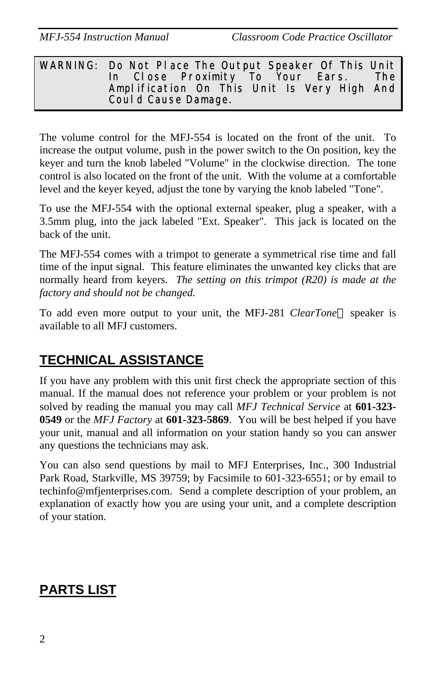#### WARNING: Do Not Place The Output Speaker Of This Unit In Close Proximity To Your Ears. The Amplification On This Unit Is Very High And Could Cause Damage.

The volume control for the MFJ-554 is located on the front of the unit. To increase the output volume, push in the power switch to the On position, key the keyer and turn the knob labeled "Volume" in the clockwise direction. The tone control is also located on the front of the unit. With the volume at a comfortable level and the keyer keyed, adjust the tone by varying the knob labeled "Tone".

To use the MFJ-554 with the optional external speaker, plug a speaker, with a 3.5mm plug, into the jack labeled "Ext. Speaker". This jack is located on the back of the unit.

The MFJ-554 comes with a trimpot to generate a symmetrical rise time and fall time of the input signal. This feature eliminates the unwanted key clicks that are normally heard from keyers. *The setting on this trimpot (R20) is made at the factory and should not be changed.*

To add even more output to your unit, the MFJ-281 *ClearTone*<sup>™</sup> speaker is available to all MFJ customers.

# **TECHNICAL ASSISTANCE**

If you have any problem with this unit first check the appropriate section of this manual. If the manual does not reference your problem or your problem is not solved by reading the manual you may call *MFJ Technical Service* at **601-323- 0549** or the *MFJ Factory* at **601-323-5869**. You will be best helped if you have your unit, manual and all information on your station handy so you can answer any questions the technicians may ask.

You can also send questions by mail to MFJ Enterprises, Inc., 300 Industrial Park Road, Starkville, MS 39759; by Facsimile to 601-323-6551; or by email to techinfo@mfjenterprises.com. Send a complete description of your problem, an explanation of exactly how you are using your unit, and a complete description of your station.

## **PARTS LIST**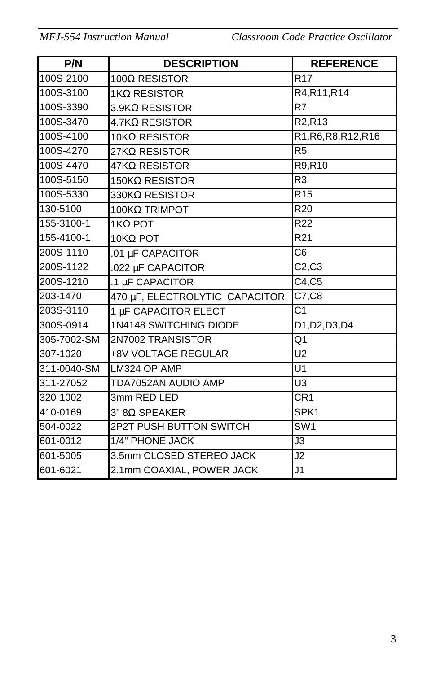*MFJ-554 Instruction Manual Classroom Code Practice Oscillator*

| P/N         | <b>DESCRIPTION</b>             | <b>REFERENCE</b>                |
|-------------|--------------------------------|---------------------------------|
| 100S-2100   | 100Ω RESISTOR                  | R <sub>17</sub>                 |
| 100S-3100   | 1KΩ RESISTOR                   | R4, R11, R14                    |
| 100S-3390   | $3.9$ K $\Omega$ RESISTOR      | R7                              |
| 100S-3470   | 4.7KΩ RESISTOR                 | R <sub>2</sub> ,R <sub>13</sub> |
| 100S-4100   | $10KΩ$ RESISTOR                | R1, R6, R8, R12, R16            |
| 100S-4270   | 27KΩ RESISTOR                  | R <sub>5</sub>                  |
| 100S-4470   | $47K\Omega$ RESISTOR           | R9,R10                          |
| 100S-5150   | 150K $\Omega$ RESISTOR         | R <sub>3</sub>                  |
| 100S-5330   | 330KΩ RESISTOR                 | R <sub>15</sub>                 |
| 130-5100    | 100KΩ TRIMPOT                  | R <sub>20</sub>                 |
| 155-3100-1  | $1K\Omega$ POT                 | R <sub>22</sub>                 |
| 155-4100-1  | 10ΚΩ POT                       | R21                             |
| 200S-1110   | .01 µF CAPACITOR               | $\overline{\text{C6}}$          |
| 200S-1122   | .022 µF CAPACITOR              | C2, C3                          |
| 200S-1210   | .1 µF CAPACITOR                | C4, C5                          |
| 203-1470    | 470 µF, ELECTROLYTIC CAPACITOR | $\overline{C7,C8}$              |
| 203S-3110   | 1 µF CAPACITOR ELECT           | C <sub>1</sub>                  |
| 300S-0914   | 1N4148 SWITCHING DIODE         | D1, D2, D3, D4                  |
| 305-7002-SM | 2N7002 TRANSISTOR              | Q1                              |
| 307-1020    | +8V VOLTAGE REGULAR            | U <sub>2</sub>                  |
| 311-0040-SM | LM324 OP AMP                   | U1                              |
| 311-27052   | TDA7052AN AUDIO AMP            | U <sub>3</sub>                  |
| 320-1002    | 3mm RED LED                    | CR <sub>1</sub>                 |
| 410-0169    | 3" 8Ω SPEAKER                  | SPK1                            |
| 504-0022    | <b>2P2T PUSH BUTTON SWITCH</b> | SW <sub>1</sub>                 |
| 601-0012    | 1/4" PHONE JACK                | J3                              |
| 601-5005    | 3.5mm CLOSED STEREO JACK       | J2                              |
| 601-6021    | 2.1mm COAXIAL, POWER JACK      | J <sub>1</sub>                  |